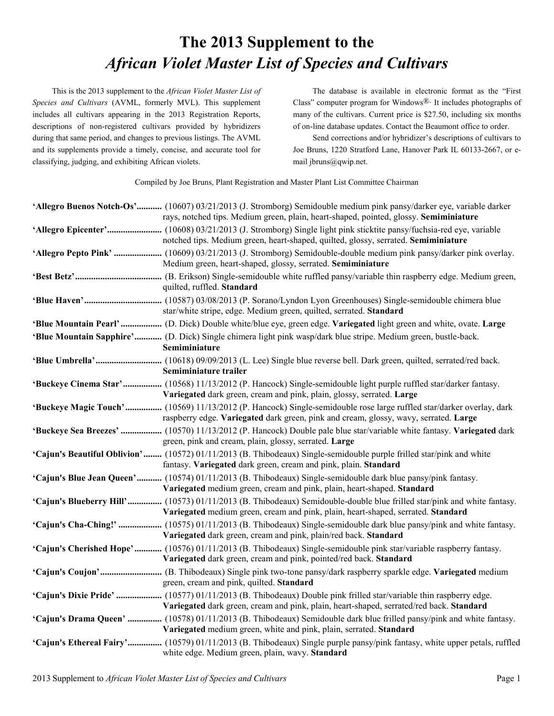## **The 2013 Supplement to the** *African Violet Master List of Species and Cultivars*

This is the 2013 supplement to the *African Violet Master List of Species and Cultivars* (AVML, formerly MVL). This supplement includes all cultivars appearing in the 2013 Registration Reports, descriptions of non-registered cultivars provided by hybridizers during that same period, and changes to previous listings. The AVML and its supplements provide a timely, concise, and accurate tool for classifying, judging, and exhibiting African violets.

The database is available in electronic format as the "First Class" computer program for Windows $\mathbb{R}$ . It includes photographs of many of the cultivars. Current price is \$27.50, including six months of on-line database updates. Contact the Beaumont office to order.

Send corrections and/or hybridizer's descriptions of cultivars to Joe Bruns, 1220 Stratford Lane, Hanover Park IL 60133-2667, or email jbruns@qwip.net.

Compiled by Joe Bruns, Plant Registration and Master Plant List Committee Chairman

| 'Allegro Buenos Notch-Os' (10607) 03/21/2013 (J. Stromborg) Semidouble medium pink pansy/darker eye, variable darker<br>rays, notched tips. Medium green, plain, heart-shaped, pointed, glossy. Semiminiature |
|---------------------------------------------------------------------------------------------------------------------------------------------------------------------------------------------------------------|
| notched tips. Medium green, heart-shaped, quilted, glossy, serrated. Semiminiature                                                                                                                            |
| Medium green, heart-shaped, glossy, serrated. Semiminiature                                                                                                                                                   |
| quilted, ruffled. Standard                                                                                                                                                                                    |
| star/white stripe, edge. Medium green, quilted, serrated. Standard                                                                                                                                            |
| 'Blue Mountain Pearl'  (D. Dick) Double white/blue eye, green edge. Variegated light green and white, ovate. Large                                                                                            |
| 'Blue Mountain Sapphire' (D. Dick) Single chimera light pink wasp/dark blue stripe. Medium green, bustle-back.<br>Semiminiature                                                                               |
| Semiminiature trailer                                                                                                                                                                                         |
| 'Buckeye Cinema Star' (10568) 11/13/2012 (P. Hancock) Single-semidouble light purple ruffled star/darker fantasy.<br>Variegated dark green, cream and pink, plain, glossy, serrated. Large                    |
| 'Buckeye Magic Touch' (10569) 11/13/2012 (P. Hancock) Single-semidouble rose large ruffled star/darker overlay, dark<br>raspberry edge. Variegated dark green, pink and cream, glossy, wavy, serrated. Large  |
| 'Buckeye Sea Breezes'  (10570) 11/13/2012 (P. Hancock) Double pale blue star/variable white fantasy. Variegated dark<br>green, pink and cream, plain, glossy, serrated. Large                                 |
| 'Cajun's Beautiful Oblivion' (10572) 01/11/2013 (B. Thibodeaux) Single-semidouble purple frilled star/pink and white<br>fantasy. Variegated dark green, cream and pink, plain. Standard                       |
| 'Cajun's Blue Jean Queen' (10574) 01/11/2013 (B. Thibodeaux) Single-semidouble dark blue pansy/pink fantasy.<br>Variegated medium green, cream and pink, plain, heart-shaped. Standard                        |
| 'Cajun's Blueberry Hill' (10573) 01/11/2013 (B. Thibodeaux) Semidouble-double blue frilled star/pink and white fantasy.<br>Variegated medium green, cream and pink, plain, heart-shaped, serrated. Standard   |
| 'Cajun's Cha-Ching!'  (10575) 01/11/2013 (B. Thibodeaux) Single-semidouble dark blue pansy/pink and white fantasy.<br>Variegated dark green, cream and pink, plain/red back. Standard                         |
| 'Cajun's Cherished Hope' (10576) 01/11/2013 (B. Thibodeaux) Single-semidouble pink star/variable raspberry fantasy.<br>Variegated dark green, cream and pink, pointed/red back. Standard                      |
| green, cream and pink, quilted. Standard                                                                                                                                                                      |
| Variegated dark green, cream and pink, plain, heart-shaped, serrated/red back. Standard                                                                                                                       |
| 'Cajun's Drama Queen'  (10578) 01/11/2013 (B. Thibodeaux) Semidouble dark blue frilled pansy/pink and white fantasy.<br>Variegated medium green, white and pink, plain, serrated. Standard                    |
| 'Cajun's Ethereal Fairy' (10579) 01/11/2013 (B. Thibodeaux) Single purple pansy/pink fantasy, white upper petals, ruffled<br>white edge. Medium green, plain, wavy. Standard                                  |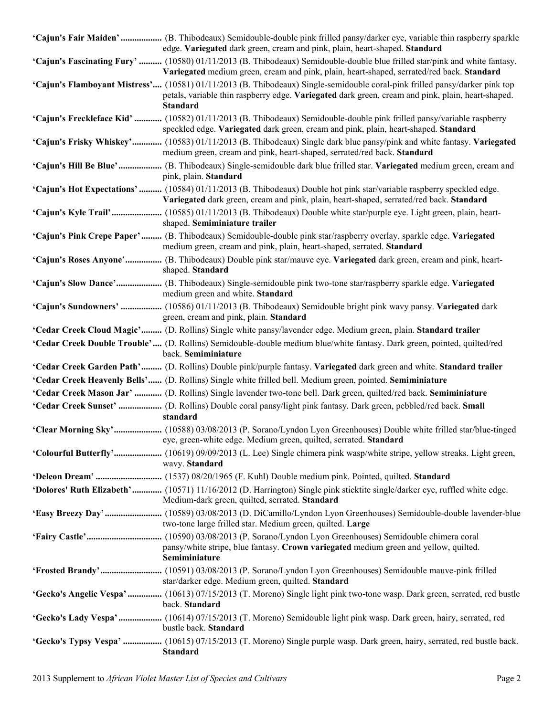| 'Cajun's Fair Maiden'  (B. Thibodeaux) Semidouble-double pink frilled pansy/darker eye, variable thin raspberry sparkle<br>edge. Variegated dark green, cream and pink, plain, heart-shaped. Standard                                               |
|-----------------------------------------------------------------------------------------------------------------------------------------------------------------------------------------------------------------------------------------------------|
| 'Cajun's Fascinating Fury'  (10580) 01/11/2013 (B. Thibodeaux) Semidouble-double blue frilled star/pink and white fantasy.<br>Variegated medium green, cream and pink, plain, heart-shaped, serrated/red back. Standard                             |
| 'Cajun's Flamboyant Mistress' (10581) 01/11/2013 (B. Thibodeaux) Single-semidouble coral-pink frilled pansy/darker pink top<br>petals, variable thin raspberry edge. Variegated dark green, cream and pink, plain, heart-shaped.<br><b>Standard</b> |
| 'Cajun's Freckleface Kid'  (10582) 01/11/2013 (B. Thibodeaux) Semidouble-double pink frilled pansy/variable raspberry<br>speckled edge. Variegated dark green, cream and pink, plain, heart-shaped. Standard                                        |
| 'Cajun's Frisky Whiskey' (10583) 01/11/2013 (B. Thibodeaux) Single dark blue pansy/pink and white fantasy. Variegated<br>medium green, cream and pink, heart-shaped, serrated/red back. Standard                                                    |
| 'Cajun's Hill Be Blue' (B. Thibodeaux) Single-semidouble dark blue frilled star. Variegated medium green, cream and<br>pink, plain. Standard                                                                                                        |
| 'Cajun's Hot Expectations'  (10584) 01/11/2013 (B. Thibodeaux) Double hot pink star/variable raspberry speckled edge.<br>Variegated dark green, cream and pink, plain, heart-shaped, serrated/red back. Standard                                    |
| shaped. Semiminiature trailer                                                                                                                                                                                                                       |
| 'Cajun's Pink Crepe Paper' (B. Thibodeaux) Semidouble-double pink star/raspberry overlay, sparkle edge. Variegated<br>medium green, cream and pink, plain, heart-shaped, serrated. Standard                                                         |
| 'Cajun's Roses Anyone' (B. Thibodeaux) Double pink star/mauve eye. Variegated dark green, cream and pink, heart-<br>shaped. Standard                                                                                                                |
| 'Cajun's Slow Dance' (B. Thibodeaux) Single-semidouble pink two-tone star/raspberry sparkle edge. Variegated<br>medium green and white. Standard                                                                                                    |
| 'Cajun's Sundowners'  (10586) 01/11/2013 (B. Thibodeaux) Semidouble bright pink wavy pansy. Variegated dark<br>green, cream and pink, plain. Standard                                                                                               |
| 'Cedar Creek Cloud Magic' (D. Rollins) Single white pansy/lavender edge. Medium green, plain. Standard trailer                                                                                                                                      |
| 'Cedar Creek Double Trouble' (D. Rollins) Semidouble-double medium blue/white fantasy. Dark green, pointed, quilted/red<br>back. Semiminiature                                                                                                      |
| 'Cedar Creek Garden Path' (D. Rollins) Double pink/purple fantasy. Variegated dark green and white. Standard trailer                                                                                                                                |
| 'Cedar Creek Heavenly Bells' (D. Rollins) Single white frilled bell. Medium green, pointed. Semiminiature                                                                                                                                           |
| 'Cedar Creek Mason Jar'  (D. Rollins) Single lavender two-tone bell. Dark green, quilted/red back. Semiminiature                                                                                                                                    |
| 'Cedar Creek Sunset'  (D. Rollins) Double coral pansy/light pink fantasy. Dark green, pebbled/red back. Small<br>standard                                                                                                                           |
| 'Clear Morning Sky' (10588) 03/08/2013 (P. Sorano/Lyndon Lyon Greenhouses) Double white frilled star/blue-tinged<br>eye, green-white edge. Medium green, quilted, serrated. Standard                                                                |
| 'Colourful Butterfly' (10619) 09/09/2013 (L. Lee) Single chimera pink wasp/white stripe, yellow streaks. Light green,<br>wavy. Standard                                                                                                             |
|                                                                                                                                                                                                                                                     |
| 'Dolores' Ruth Elizabeth'  (10571) 11/16/2012 (D. Harrington) Single pink sticktite single/darker eye, ruffled white edge.<br>Medium-dark green, quilted, serrated. Standard                                                                        |
| two-tone large frilled star. Medium green, quilted. Large                                                                                                                                                                                           |
| pansy/white stripe, blue fantasy. Crown variegated medium green and yellow, quilted.<br>Semiminiature                                                                                                                                               |
| star/darker edge. Medium green, quilted. Standard                                                                                                                                                                                                   |
| 'Gecko's Angelic Vespa'  (10613) 07/15/2013 (T. Moreno) Single light pink two-tone wasp. Dark green, serrated, red bustle<br>back. Standard                                                                                                         |
| 'Gecko's Lady Vespa'  (10614) 07/15/2013 (T. Moreno) Semidouble light pink wasp. Dark green, hairy, serrated, red<br>bustle back. Standard                                                                                                          |
| 'Gecko's Typsy Vespa'  (10615) 07/15/2013 (T. Moreno) Single purple wasp. Dark green, hairy, serrated, red bustle back.<br><b>Standard</b>                                                                                                          |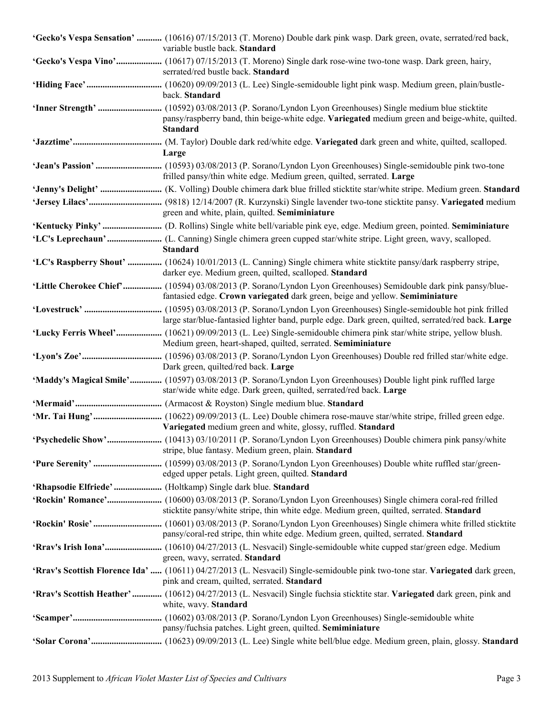| 'Gecko's Vespa Sensation'  (10616) 07/15/2013 (T. Moreno) Double dark pink wasp. Dark green, ovate, serrated/red back,<br>variable bustle back. Standard                                        |
|-------------------------------------------------------------------------------------------------------------------------------------------------------------------------------------------------|
| 'Gecko's Vespa Vino' (10617) 07/15/2013 (T. Moreno) Single dark rose-wine two-tone wasp. Dark green, hairy,<br>serrated/red bustle back. Standard                                               |
| back. Standard                                                                                                                                                                                  |
| pansy/raspberry band, thin beige-white edge. Variegated medium green and beige-white, quilted.<br><b>Standard</b>                                                                               |
| Large                                                                                                                                                                                           |
| frilled pansy/thin white edge. Medium green, quilted, serrated. Large                                                                                                                           |
|                                                                                                                                                                                                 |
| green and white, plain, quilted. Semiminiature                                                                                                                                                  |
|                                                                                                                                                                                                 |
| <b>Standard</b>                                                                                                                                                                                 |
| 'LC's Raspberry Shout'  (10624) 10/01/2013 (L. Canning) Single chimera white sticktite pansy/dark raspberry stripe,<br>darker eye. Medium green, quilted, scalloped. Standard                   |
| 'Little Cherokee Chief' (10594) 03/08/2013 (P. Sorano/Lyndon Lyon Greenhouses) Semidouble dark pink pansy/blue-<br>fantasied edge. Crown variegated dark green, beige and yellow. Semiminiature |
| large star/blue-fantasied lighter band, purple edge. Dark green, quilted, serrated/red back. Large                                                                                              |
| 'Lucky Ferris Wheel' (10621) 09/09/2013 (L. Lee) Single-semidouble chimera pink star/white stripe, yellow blush.<br>Medium green, heart-shaped, quilted, serrated. Semiminiature                |
| Dark green, quilted/red back. Large                                                                                                                                                             |
| 'Maddy's Magical Smile' (10597) 03/08/2013 (P. Sorano/Lyndon Lyon Greenhouses) Double light pink ruffled large<br>star/wide white edge. Dark green, quilted, serrated/red back. Large           |
|                                                                                                                                                                                                 |
| Variegated medium green and white, glossy, ruffled. Standard                                                                                                                                    |
| stripe, blue fantasy. Medium green, plain. Standard                                                                                                                                             |
| edged upper petals. Light green, quilted. Standard                                                                                                                                              |
| 'Rhapsodie Elfriede'  (Holtkamp) Single dark blue. Standard                                                                                                                                     |
| sticktite pansy/white stripe, thin white edge. Medium green, quilted, serrated. Standard                                                                                                        |
| pansy/coral-red stripe, thin white edge. Medium green, quilted, serrated. Standard                                                                                                              |
| green, wavy, serrated. Standard                                                                                                                                                                 |
| 'Rrav's Scottish Florence Ida'  (10611) 04/27/2013 (L. Nesvacil) Single-semidouble pink two-tone star. Variegated dark green,<br>pink and cream, quilted, serrated. Standard                    |
| 'Rrav's Scottish Heather'  (10612) 04/27/2013 (L. Nesvacil) Single fuchsia sticktite star. Variegated dark green, pink and<br>white, wavy. Standard                                             |
| pansy/fuchsia patches. Light green, quilted. Semiminiature                                                                                                                                      |
|                                                                                                                                                                                                 |